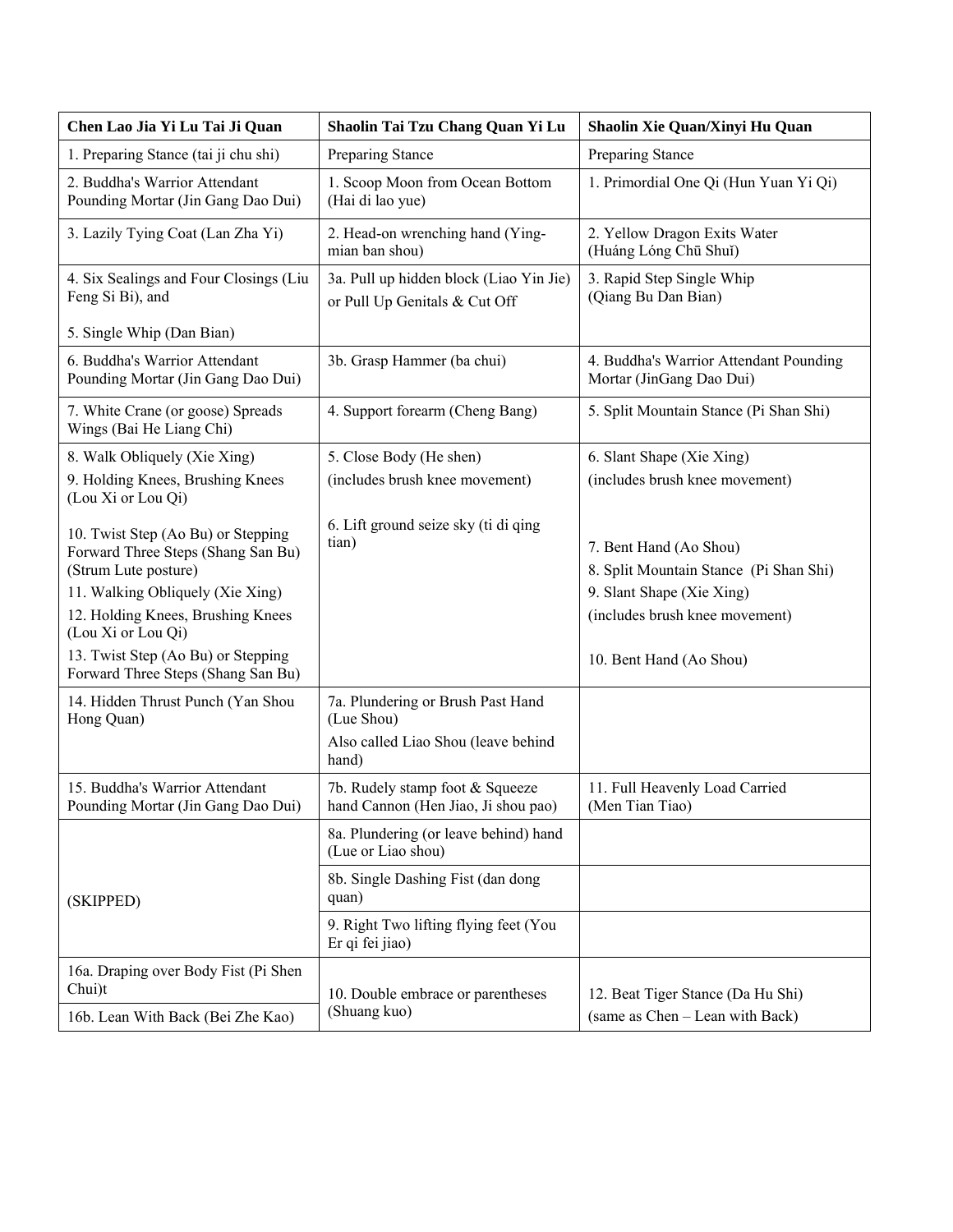| Chen Lao Jia Yi Lu Tai Ji Quan                                                                                                       | Shaolin Tai Tzu Chang Quan Yi Lu                                                       | Shaolin Xie Quan/Xinyi Hu Quan                                                                |
|--------------------------------------------------------------------------------------------------------------------------------------|----------------------------------------------------------------------------------------|-----------------------------------------------------------------------------------------------|
| 1. Preparing Stance (tai ji chu shi)                                                                                                 | Preparing Stance                                                                       | Preparing Stance                                                                              |
| 2. Buddha's Warrior Attendant<br>Pounding Mortar (Jin Gang Dao Dui)                                                                  | 1. Scoop Moon from Ocean Bottom<br>(Hai di lao yue)                                    | 1. Primordial One Qi (Hun Yuan Yi Qi)                                                         |
| 3. Lazily Tying Coat (Lan Zha Yi)                                                                                                    | 2. Head-on wrenching hand (Ying-<br>mian ban shou)                                     | 2. Yellow Dragon Exits Water<br>(Huáng Lóng Chū Shuǐ)                                         |
| 4. Six Sealings and Four Closings (Liu<br>Feng Si Bi), and                                                                           | 3a. Pull up hidden block (Liao Yin Jie)<br>or Pull Up Genitals & Cut Off               | 3. Rapid Step Single Whip<br>(Qiang Bu Dan Bian)                                              |
| 5. Single Whip (Dan Bian)                                                                                                            |                                                                                        |                                                                                               |
| 6. Buddha's Warrior Attendant<br>Pounding Mortar (Jin Gang Dao Dui)                                                                  | 3b. Grasp Hammer (ba chui)                                                             | 4. Buddha's Warrior Attendant Pounding<br>Mortar (JinGang Dao Dui)                            |
| 7. White Crane (or goose) Spreads<br>Wings (Bai He Liang Chi)                                                                        | 4. Support forearm (Cheng Bang)                                                        | 5. Split Mountain Stance (Pi Shan Shi)                                                        |
| 8. Walk Obliquely (Xie Xing)                                                                                                         | 5. Close Body (He shen)                                                                | 6. Slant Shape (Xie Xing)                                                                     |
| 9. Holding Knees, Brushing Knees<br>(Lou Xi or Lou Qi)                                                                               | (includes brush knee movement)                                                         | (includes brush knee movement)                                                                |
| 10. Twist Step (Ao Bu) or Stepping<br>Forward Three Steps (Shang San Bu)<br>(Strum Lute posture)<br>11. Walking Obliquely (Xie Xing) | 6. Lift ground seize sky (ti di qing<br>tian)                                          | 7. Bent Hand (Ao Shou)<br>8. Split Mountain Stance (Pi Shan Shi)<br>9. Slant Shape (Xie Xing) |
| 12. Holding Knees, Brushing Knees<br>(Lou Xi or Lou Qi)                                                                              |                                                                                        | (includes brush knee movement)                                                                |
| 13. Twist Step (Ao Bu) or Stepping<br>Forward Three Steps (Shang San Bu)                                                             |                                                                                        | 10. Bent Hand (Ao Shou)                                                                       |
| 14. Hidden Thrust Punch (Yan Shou<br>Hong Quan)                                                                                      | 7a. Plundering or Brush Past Hand<br>(Lue Shou)<br>Also called Liao Shou (leave behind |                                                                                               |
|                                                                                                                                      | hand)                                                                                  |                                                                                               |
| 15. Buddha's Warrior Attendant<br>Pounding Mortar (Jin Gang Dao Dui)                                                                 | 7b. Rudely stamp foot & Squeeze<br>hand Cannon (Hen Jiao, Ji shou pao)                 | 11. Full Heavenly Load Carried<br>(Men Tian Tiao)                                             |
|                                                                                                                                      | 8a. Plundering (or leave behind) hand<br>(Lue or Liao shou)                            |                                                                                               |
| (SKIPPED)                                                                                                                            | 8b. Single Dashing Fist (dan dong<br>quan)                                             |                                                                                               |
|                                                                                                                                      | 9. Right Two lifting flying feet (You<br>Er qi fei jiao)                               |                                                                                               |
| 16a. Draping over Body Fist (Pi Shen<br>Chui)t                                                                                       | 10. Double embrace or parentheses                                                      | 12. Beat Tiger Stance (Da Hu Shi)                                                             |
| 16b. Lean With Back (Bei Zhe Kao)                                                                                                    | (Shuang kuo)                                                                           | (same as Chen - Lean with Back)                                                               |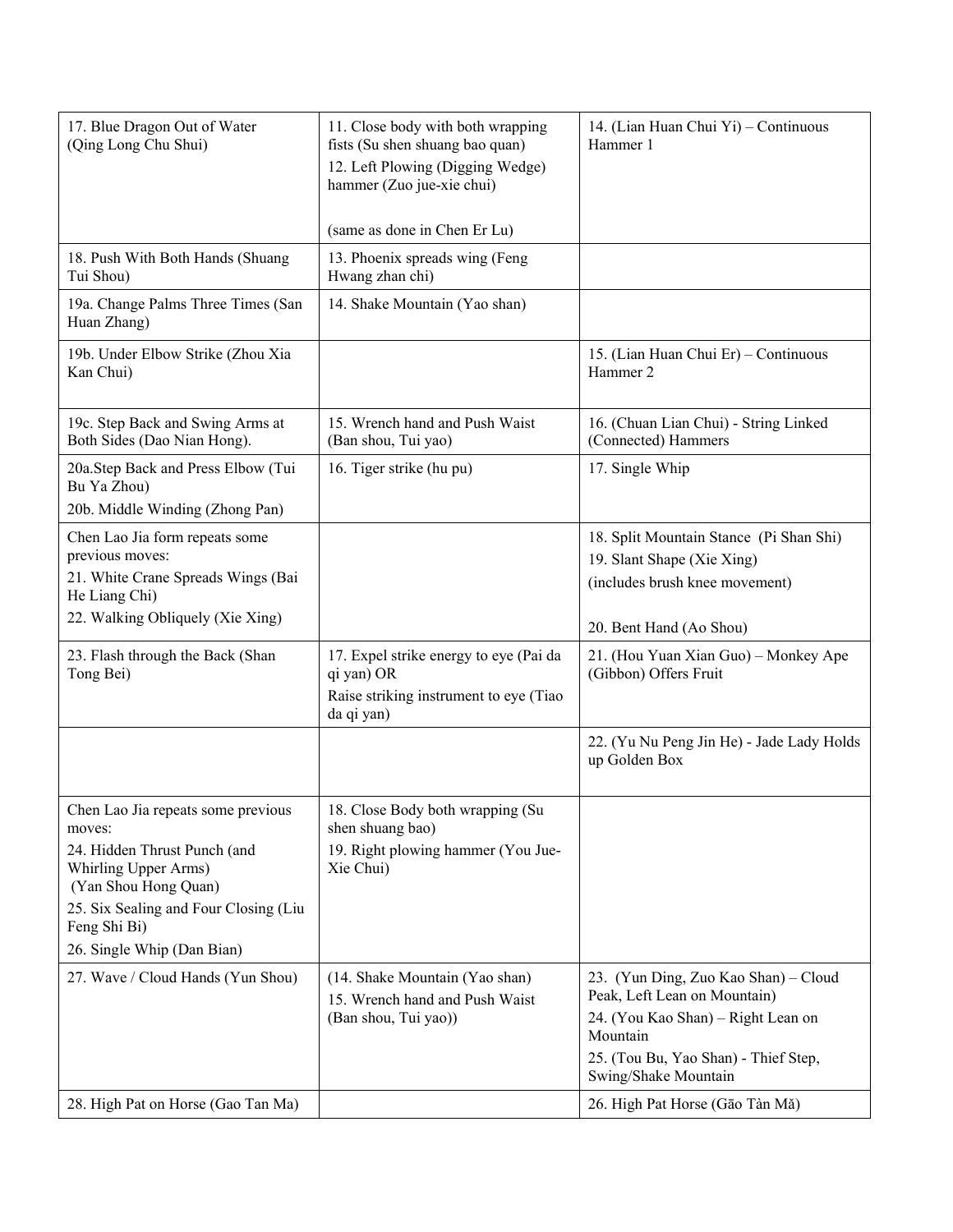| 17. Blue Dragon Out of Water<br>(Qing Long Chu Shui)                                                     | 11. Close body with both wrapping<br>fists (Su shen shuang bao quan)<br>12. Left Plowing (Digging Wedge)<br>hammer (Zuo jue-xie chui) | 14. (Lian Huan Chui Yi) - Continuous<br>Hammer 1                                                                       |
|----------------------------------------------------------------------------------------------------------|---------------------------------------------------------------------------------------------------------------------------------------|------------------------------------------------------------------------------------------------------------------------|
|                                                                                                          | (same as done in Chen Er Lu)                                                                                                          |                                                                                                                        |
| 18. Push With Both Hands (Shuang<br>Tui Shou)                                                            | 13. Phoenix spreads wing (Feng<br>Hwang zhan chi)                                                                                     |                                                                                                                        |
| 19a. Change Palms Three Times (San<br>Huan Zhang)                                                        | 14. Shake Mountain (Yao shan)                                                                                                         |                                                                                                                        |
| 19b. Under Elbow Strike (Zhou Xia<br>Kan Chui)                                                           |                                                                                                                                       | 15. (Lian Huan Chui Er) - Continuous<br>Hammer 2                                                                       |
| 19c. Step Back and Swing Arms at<br>Both Sides (Dao Nian Hong).                                          | 15. Wrench hand and Push Waist<br>(Ban shou, Tui yao)                                                                                 | 16. (Chuan Lian Chui) - String Linked<br>(Connected) Hammers                                                           |
| 20a.Step Back and Press Elbow (Tui<br>Bu Ya Zhou)<br>20b. Middle Winding (Zhong Pan)                     | 16. Tiger strike (hu pu)                                                                                                              | 17. Single Whip                                                                                                        |
| Chen Lao Jia form repeats some<br>previous moves:<br>21. White Crane Spreads Wings (Bai<br>He Liang Chi) |                                                                                                                                       | 18. Split Mountain Stance (Pi Shan Shi)<br>19. Slant Shape (Xie Xing)<br>(includes brush knee movement)                |
| 22. Walking Obliquely (Xie Xing)                                                                         |                                                                                                                                       | 20. Bent Hand (Ao Shou)                                                                                                |
| 23. Flash through the Back (Shan<br>Tong Bei)                                                            | 17. Expel strike energy to eye (Pai da<br>qi yan) OR<br>Raise striking instrument to eye (Tiao<br>da qi yan)                          | 21. (Hou Yuan Xian Guo) – Monkey Ape<br>(Gibbon) Offers Fruit                                                          |
|                                                                                                          |                                                                                                                                       | 22. (Yu Nu Peng Jin He) - Jade Lady Holds<br>up Golden Box                                                             |
| Chen Lao Jia repeats some previous<br>moves:<br>24. Hidden Thrust Punch (and<br>Whirling Upper Arms)     | 18. Close Body both wrapping (Su<br>shen shuang bao)<br>19. Right plowing hammer (You Jue-<br>Xie Chui)                               |                                                                                                                        |
| (Yan Shou Hong Quan)<br>25. Six Sealing and Four Closing (Liu<br>Feng Shi Bi)                            |                                                                                                                                       |                                                                                                                        |
| 26. Single Whip (Dan Bian)                                                                               |                                                                                                                                       |                                                                                                                        |
| 27. Wave / Cloud Hands (Yun Shou)                                                                        | (14. Shake Mountain (Yao shan)<br>15. Wrench hand and Push Waist<br>(Ban shou, Tui yao))                                              | 23. (Yun Ding, Zuo Kao Shan) - Cloud<br>Peak, Left Lean on Mountain)<br>24. (You Kao Shan) – Right Lean on<br>Mountain |
|                                                                                                          |                                                                                                                                       | 25. (Tou Bu, Yao Shan) - Thief Step,<br>Swing/Shake Mountain                                                           |
| 28. High Pat on Horse (Gao Tan Ma)                                                                       |                                                                                                                                       | 26. High Pat Horse (Gão Tàn Mă)                                                                                        |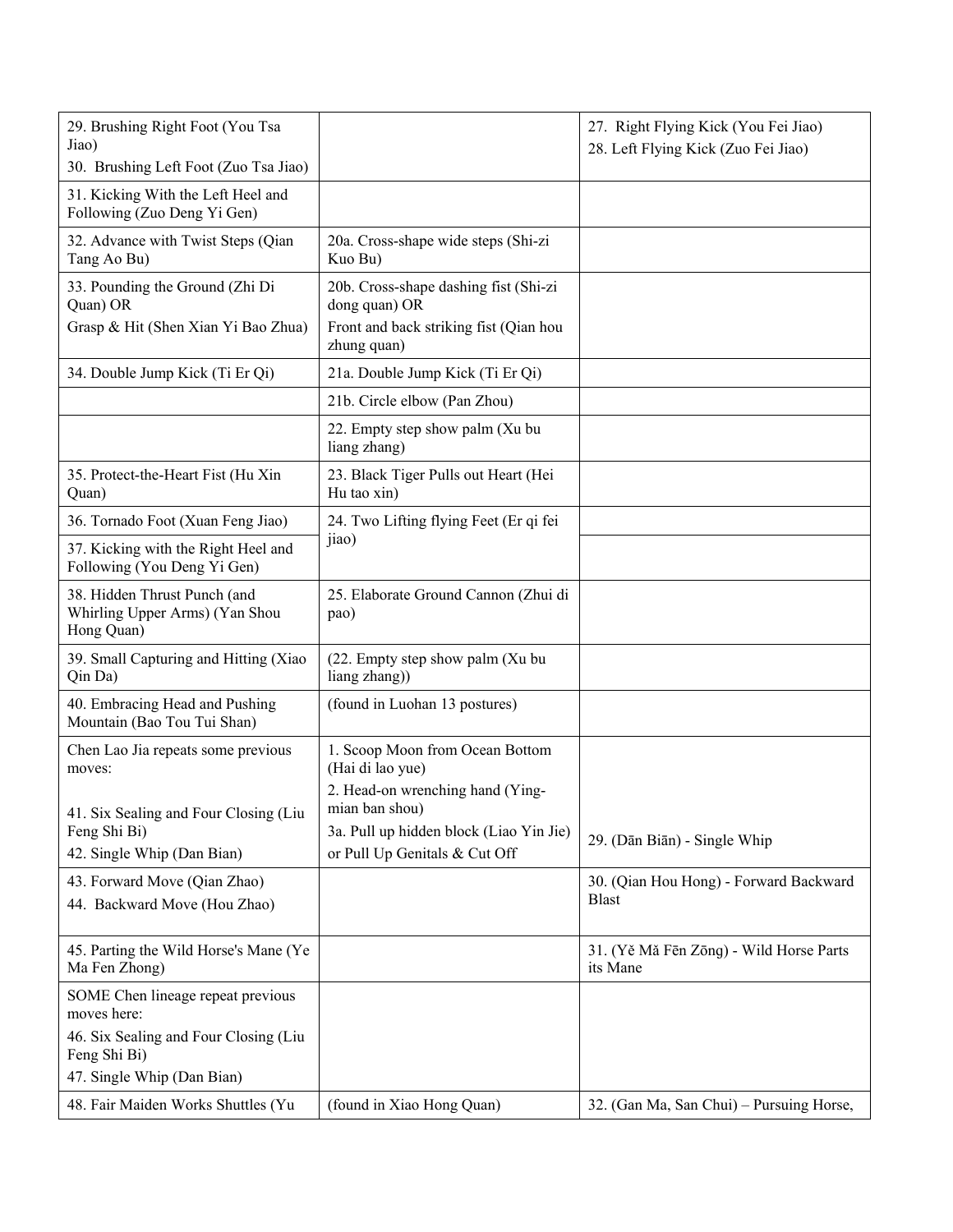| 29. Brushing Right Foot (You Tsa<br>Jiao)                                    |                                                                                         | 27. Right Flying Kick (You Fei Jiao)<br>28. Left Flying Kick (Zuo Fei Jiao) |
|------------------------------------------------------------------------------|-----------------------------------------------------------------------------------------|-----------------------------------------------------------------------------|
| 30. Brushing Left Foot (Zuo Tsa Jiao)                                        |                                                                                         |                                                                             |
| 31. Kicking With the Left Heel and<br>Following (Zuo Deng Yi Gen)            |                                                                                         |                                                                             |
| 32. Advance with Twist Steps (Qian<br>Tang Ao Bu)                            | 20a. Cross-shape wide steps (Shi-zi<br>Kuo Bu)                                          |                                                                             |
| 33. Pounding the Ground (Zhi Di<br>Quan) OR                                  | 20b. Cross-shape dashing fist (Shi-zi<br>dong quan) OR                                  |                                                                             |
| Grasp & Hit (Shen Xian Yi Bao Zhua)                                          | Front and back striking fist (Qian hou<br>zhung quan)                                   |                                                                             |
| 34. Double Jump Kick (Ti Er Qi)                                              | 21a. Double Jump Kick (Ti Er Qi)                                                        |                                                                             |
|                                                                              | 21b. Circle elbow (Pan Zhou)                                                            |                                                                             |
|                                                                              | 22. Empty step show palm (Xu bu<br>liang zhang)                                         |                                                                             |
| 35. Protect-the-Heart Fist (Hu Xin<br>Quan)                                  | 23. Black Tiger Pulls out Heart (Hei<br>Hu tao xin)                                     |                                                                             |
| 36. Tornado Foot (Xuan Feng Jiao)                                            | 24. Two Lifting flying Feet (Er qi fei                                                  |                                                                             |
| 37. Kicking with the Right Heel and<br>Following (You Deng Yi Gen)           | jiao)                                                                                   |                                                                             |
| 38. Hidden Thrust Punch (and<br>Whirling Upper Arms) (Yan Shou<br>Hong Quan) | 25. Elaborate Ground Cannon (Zhui di<br>pao)                                            |                                                                             |
| 39. Small Capturing and Hitting (Xiao<br>Qin Da)                             | (22. Empty step show palm (Xu bu<br>liang zhang))                                       |                                                                             |
| 40. Embracing Head and Pushing<br>Mountain (Bao Tou Tui Shan)                | (found in Luohan 13 postures)                                                           |                                                                             |
| Chen Lao Jia repeats some previous<br>moves:                                 | 1. Scoop Moon from Ocean Bottom<br>(Hai di lao yue)<br>2. Head-on wrenching hand (Ying- |                                                                             |
| 41. Six Sealing and Four Closing (Liu                                        | mian ban shou)                                                                          |                                                                             |
| Feng Shi Bi)<br>42. Single Whip (Dan Bian)                                   | 3a. Pull up hidden block (Liao Yin Jie)<br>or Pull Up Genitals & Cut Off                | 29. (Dān Biān) - Single Whip                                                |
| 43. Forward Move (Qian Zhao)                                                 |                                                                                         | 30. (Qian Hou Hong) - Forward Backward                                      |
| 44. Backward Move (Hou Zhao)                                                 |                                                                                         | <b>Blast</b>                                                                |
| 45. Parting the Wild Horse's Mane (Ye<br>Ma Fen Zhong)                       |                                                                                         | 31. (Yě Mǎ Fēn Zōng) - Wild Horse Parts<br>its Mane                         |
| SOME Chen lineage repeat previous<br>moves here:                             |                                                                                         |                                                                             |
| 46. Six Sealing and Four Closing (Liu<br>Feng Shi Bi)                        |                                                                                         |                                                                             |
| 47. Single Whip (Dan Bian)                                                   |                                                                                         |                                                                             |
| 48. Fair Maiden Works Shuttles (Yu                                           | (found in Xiao Hong Quan)                                                               | 32. (Gan Ma, San Chui) - Pursuing Horse,                                    |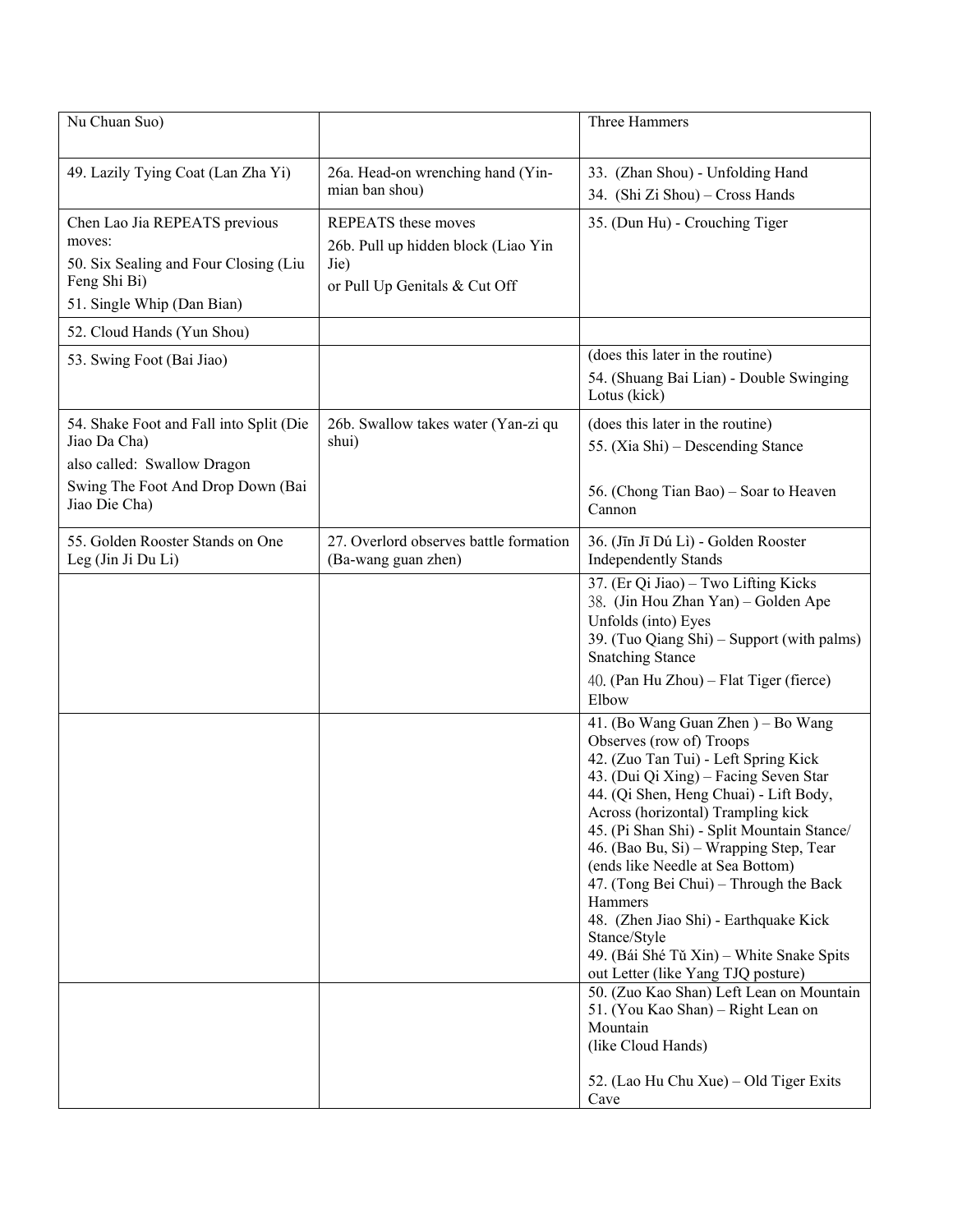| Nu Chuan Suo)                                                                                                                                |                                                                                                     | Three Hammers                                                                                                                                                                                                                                                                                                                                                                                                                                                                                                                                                                                                                                                                                                            |
|----------------------------------------------------------------------------------------------------------------------------------------------|-----------------------------------------------------------------------------------------------------|--------------------------------------------------------------------------------------------------------------------------------------------------------------------------------------------------------------------------------------------------------------------------------------------------------------------------------------------------------------------------------------------------------------------------------------------------------------------------------------------------------------------------------------------------------------------------------------------------------------------------------------------------------------------------------------------------------------------------|
| 49. Lazily Tying Coat (Lan Zha Yi)                                                                                                           | 26a. Head-on wrenching hand (Yin-<br>mian ban shou)                                                 | 33. (Zhan Shou) - Unfolding Hand<br>34. (Shi Zi Shou) - Cross Hands                                                                                                                                                                                                                                                                                                                                                                                                                                                                                                                                                                                                                                                      |
| Chen Lao Jia REPEATS previous<br>moves:<br>50. Six Sealing and Four Closing (Liu<br>Feng Shi Bi)<br>51. Single Whip (Dan Bian)               | REPEATS these moves<br>26b. Pull up hidden block (Liao Yin<br>Jie)<br>or Pull Up Genitals & Cut Off | 35. (Dun Hu) - Crouching Tiger                                                                                                                                                                                                                                                                                                                                                                                                                                                                                                                                                                                                                                                                                           |
| 52. Cloud Hands (Yun Shou)                                                                                                                   |                                                                                                     |                                                                                                                                                                                                                                                                                                                                                                                                                                                                                                                                                                                                                                                                                                                          |
| 53. Swing Foot (Bai Jiao)                                                                                                                    |                                                                                                     | (does this later in the routine)<br>54. (Shuang Bai Lian) - Double Swinging<br>Lotus (kick)                                                                                                                                                                                                                                                                                                                                                                                                                                                                                                                                                                                                                              |
| 54. Shake Foot and Fall into Split (Die<br>Jiao Da Cha)<br>also called: Swallow Dragon<br>Swing The Foot And Drop Down (Bai<br>Jiao Die Cha) | 26b. Swallow takes water (Yan-zi qu<br>shui)                                                        | (does this later in the routine)<br>55. (Xia Shi) – Descending Stance<br>56. (Chong Tian Bao) – Soar to Heaven<br>Cannon                                                                                                                                                                                                                                                                                                                                                                                                                                                                                                                                                                                                 |
| 55. Golden Rooster Stands on One<br>Leg (Jin Ji Du Li)                                                                                       | 27. Overlord observes battle formation<br>(Ba-wang guan zhen)                                       | 36. (Jīn Jī Dú Lì) - Golden Rooster<br><b>Independently Stands</b>                                                                                                                                                                                                                                                                                                                                                                                                                                                                                                                                                                                                                                                       |
|                                                                                                                                              |                                                                                                     | 37. (Er Qi Jiao) - Two Lifting Kicks<br>38. (Jin Hou Zhan Yan) – Golden Ape<br>Unfolds (into) Eyes<br>39. (Tuo Qiang Shi) - Support (with palms)<br><b>Snatching Stance</b><br>40. (Pan Hu Zhou) – Flat Tiger (fierce)<br>Elbow                                                                                                                                                                                                                                                                                                                                                                                                                                                                                          |
|                                                                                                                                              |                                                                                                     | 41. (Bo Wang Guan Zhen) – Bo Wang<br>Observes (row of) Troops<br>42. (Zuo Tan Tui) - Left Spring Kick<br>43. (Dui Qi Xing) – Facing Seven Star<br>44. (Qi Shen, Heng Chuai) - Lift Body,<br>Across (horizontal) Trampling kick<br>45. (Pi Shan Shi) - Split Mountain Stance/<br>46. (Bao Bu, Si) – Wrapping Step, Tear<br>(ends like Needle at Sea Bottom)<br>47. (Tong Bei Chui) – Through the Back<br>Hammers<br>48. (Zhen Jiao Shi) - Earthquake Kick<br>Stance/Style<br>49. (Bái Shé Tǔ Xin) – White Snake Spits<br>out Letter (like Yang TJQ posture)<br>50. (Zuo Kao Shan) Left Lean on Mountain<br>51. (You Kao Shan) – Right Lean on<br>Mountain<br>(like Cloud Hands)<br>52. (Lao Hu Chu Xue) – Old Tiger Exits |
|                                                                                                                                              |                                                                                                     | Cave                                                                                                                                                                                                                                                                                                                                                                                                                                                                                                                                                                                                                                                                                                                     |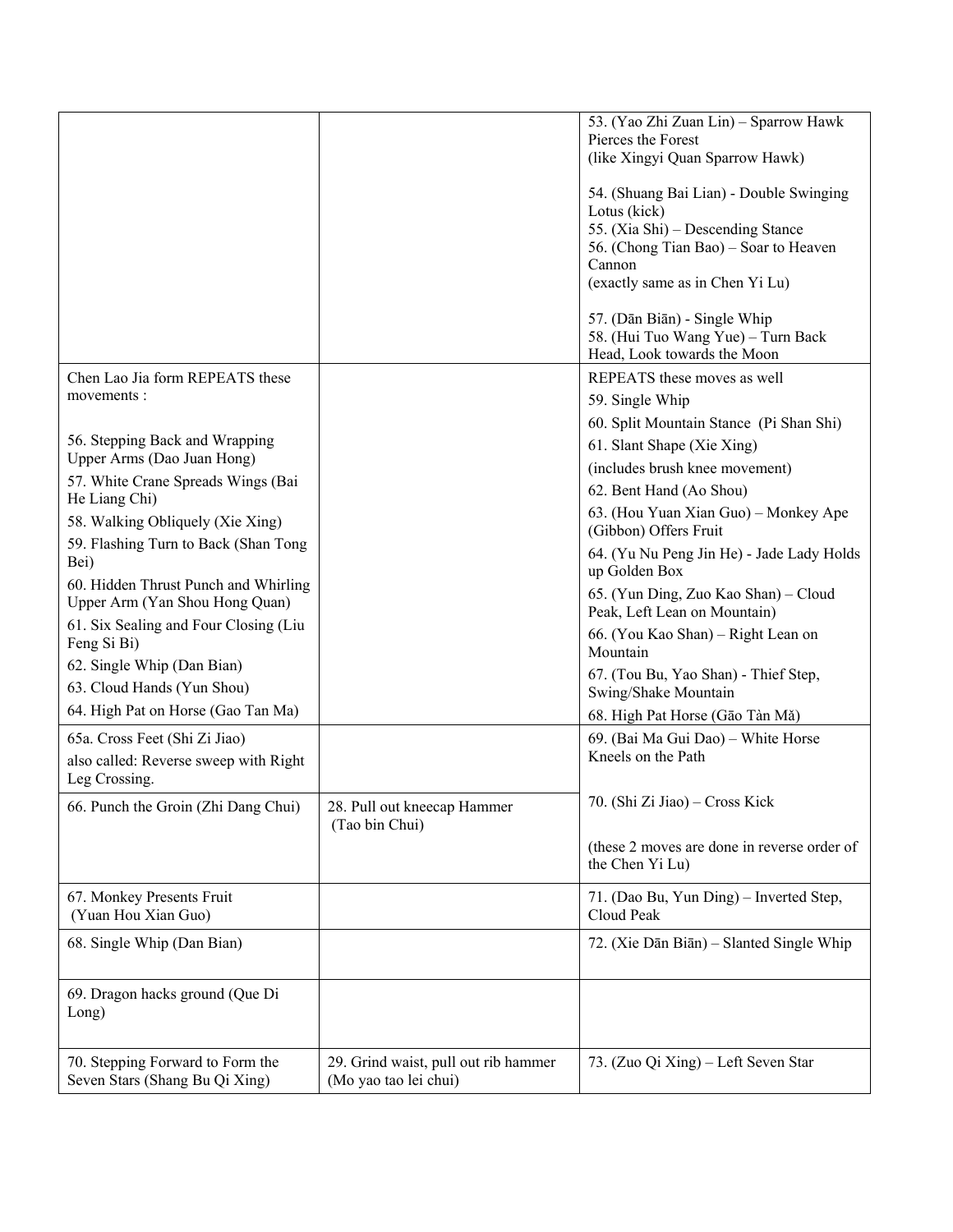|                                                                        |                                                               | 53. (Yao Zhi Zuan Lin) – Sparrow Hawk<br>Pierces the Forest          |
|------------------------------------------------------------------------|---------------------------------------------------------------|----------------------------------------------------------------------|
|                                                                        |                                                               | (like Xingyi Quan Sparrow Hawk)                                      |
|                                                                        |                                                               | 54. (Shuang Bai Lian) - Double Swinging<br>Lotus (kick)              |
|                                                                        |                                                               | 55. (Xia Shi) – Descending Stance                                    |
|                                                                        |                                                               | 56. (Chong Tian Bao) – Soar to Heaven                                |
|                                                                        |                                                               | Cannon<br>(exactly same as in Chen Yi Lu)                            |
|                                                                        |                                                               |                                                                      |
|                                                                        |                                                               | 57. (Dān Biān) - Single Whip                                         |
|                                                                        |                                                               | 58. (Hui Tuo Wang Yue) - Turn Back<br>Head, Look towards the Moon    |
| Chen Lao Jia form REPEATS these                                        |                                                               | REPEATS these moves as well                                          |
| movements :                                                            |                                                               | 59. Single Whip                                                      |
|                                                                        |                                                               | 60. Split Mountain Stance (Pi Shan Shi)                              |
| 56. Stepping Back and Wrapping                                         |                                                               | 61. Slant Shape (Xie Xing)                                           |
| Upper Arms (Dao Juan Hong)                                             |                                                               | (includes brush knee movement)                                       |
| 57. White Crane Spreads Wings (Bai<br>He Liang Chi)                    |                                                               | 62. Bent Hand (Ao Shou)                                              |
| 58. Walking Obliquely (Xie Xing)                                       |                                                               | 63. (Hou Yuan Xian Guo) – Monkey Ape<br>(Gibbon) Offers Fruit        |
| 59. Flashing Turn to Back (Shan Tong<br>Bei)                           |                                                               | 64. (Yu Nu Peng Jin He) - Jade Lady Holds<br>up Golden Box           |
| 60. Hidden Thrust Punch and Whirling<br>Upper Arm (Yan Shou Hong Quan) |                                                               | 65. (Yun Ding, Zuo Kao Shan) - Cloud<br>Peak, Left Lean on Mountain) |
| 61. Six Sealing and Four Closing (Liu<br>Feng Si Bi)                   |                                                               | 66. (You Kao Shan) – Right Lean on                                   |
| 62. Single Whip (Dan Bian)                                             |                                                               | Mountain                                                             |
| 63. Cloud Hands (Yun Shou)                                             |                                                               | 67. (Tou Bu, Yao Shan) - Thief Step,<br>Swing/Shake Mountain         |
| 64. High Pat on Horse (Gao Tan Ma)                                     |                                                               | 68. High Pat Horse (Gão Tàn Mă)                                      |
| 65a. Cross Feet (Shi Zi Jiao)                                          |                                                               | 69. (Bai Ma Gui Dao) – White Horse                                   |
| also called: Reverse sweep with Right<br>Leg Crossing.                 |                                                               | Kneels on the Path                                                   |
| 66. Punch the Groin (Zhi Dang Chui)                                    | 28. Pull out kneecap Hammer<br>(Tao bin Chui)                 | 70. (Shi Zi Jiao) - Cross Kick                                       |
|                                                                        |                                                               | (these 2 moves are done in reverse order of<br>the Chen Yi Lu)       |
| 67. Monkey Presents Fruit<br>(Yuan Hou Xian Guo)                       |                                                               | 71. (Dao Bu, Yun Ding) – Inverted Step,<br>Cloud Peak                |
| 68. Single Whip (Dan Bian)                                             |                                                               | 72. (Xie Dān Biān) – Slanted Single Whip                             |
| 69. Dragon hacks ground (Que Di<br>Long)                               |                                                               |                                                                      |
| 70. Stepping Forward to Form the<br>Seven Stars (Shang Bu Qi Xing)     | 29. Grind waist, pull out rib hammer<br>(Mo yao tao lei chui) | 73. (Zuo Qi Xing) – Left Seven Star                                  |